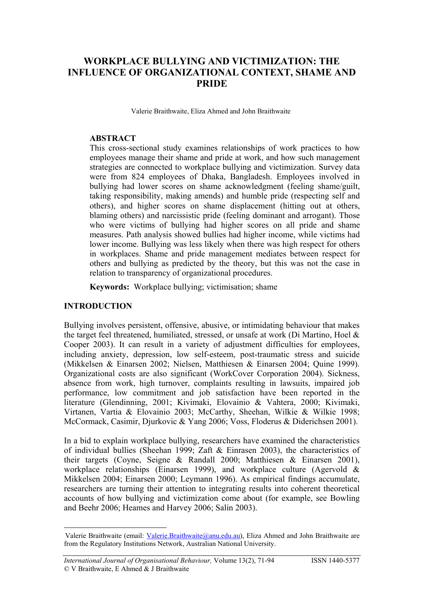# **WORKPLACE BULLYING AND VICTIMIZATION: THE INFLUENCE OF ORGANIZATIONAL CONTEXT, SHAME AND PRIDE**

Valerie Braithwaite, Eliza Ahmed and John Braithwaite

#### **ABSTRACT**

This cross-sectional study examines relationships of work practices to how employees manage their shame and pride at work, and how such management strategies are connected to workplace bullying and victimization. Survey data were from 824 employees of Dhaka, Bangladesh. Employees involved in bullying had lower scores on shame acknowledgment (feeling shame/guilt, taking responsibility, making amends) and humble pride (respecting self and others), and higher scores on shame displacement (hitting out at others, blaming others) and narcissistic pride (feeling dominant and arrogant). Those who were victims of bullying had higher scores on all pride and shame measures. Path analysis showed bullies had higher income, while victims had lower income. Bullying was less likely when there was high respect for others in workplaces. Shame and pride management mediates between respect for others and bullying as predicted by the theory, but this was not the case in relation to transparency of organizational procedures.

**Keywords:** Workplace bullying; victimisation; shame

#### **INTRODUCTION**

 $\overline{a}$ 

Bullying involves persistent, offensive, abusive, or intimidating behaviour that makes the target feel threatened, humiliated, stressed, or unsafe at work (Di Martino, Hoel & Cooper 2003). It can result in a variety of adjustment difficulties for employees, including anxiety, depression, low self-esteem, post-traumatic stress and suicide (Mikkelsen & Einarsen 2002; Nielsen, Matthiesen & Einarsen 2004; Quine 1999). Organizational costs are also significant (WorkCover Corporation 2004). Sickness, absence from work, high turnover, complaints resulting in lawsuits, impaired job performance, low commitment and job satisfaction have been reported in the literature (Glendinning, 2001; Kivimaki, Elovainio & Vahtera, 2000; Kivimaki, Virtanen, Vartia & Elovainio 2003; McCarthy, Sheehan, Wilkie & Wilkie 1998; McCormack, Casimir, Djurkovic & Yang 2006; Voss, Floderus & Diderichsen 2001).

In a bid to explain workplace bullying, researchers have examined the characteristics of individual bullies (Sheehan 1999; Zaft & Einrasen 2003), the characteristics of their targets (Coyne, Seigne & Randall 2000; Matthiesen & Einarsen 2001), workplace relationships (Einarsen 1999), and workplace culture (Agervold & Mikkelsen 2004; Einarsen 2000; Leymann 1996). As empirical findings accumulate, researchers are turning their attention to integrating results into coherent theoretical accounts of how bullying and victimization come about (for example, see Bowling and Beehr 2006; Heames and Harvey 2006; Salin 2003).

Valerie Braithwaite (email: [Valerie.Braithwaite@anu.edu.au](mailto:Valerie.Braithwaite@anu.edu.au)), Eliza Ahmed and John Braithwaite are from the Regulatory Institutions Network, Australian National University.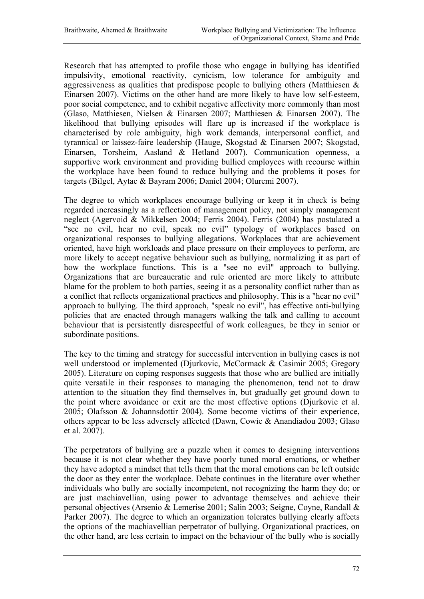Research that has attempted to profile those who engage in bullying has identified impulsivity, emotional reactivity, cynicism, low tolerance for ambiguity and aggressiveness as qualities that predispose people to bullying others (Matthiesen  $\&$ Einarsen 2007). Victims on the other hand are more likely to have low self-esteem, poor social competence, and to exhibit negative affectivity more commonly than most (Glaso, Matthiesen, Nielsen & Einarsen 2007; Matthiesen & Einarsen 2007). The likelihood that bullying episodes will flare up is increased if the workplace is characterised by role ambiguity, high work demands, interpersonal conflict, and tyrannical or laissez-faire leadership (Hauge, Skogstad & Einarsen 2007; Skogstad, Einarsen, Torsheim, Aasland & Hetland 2007). Communication openness, a supportive work environment and providing bullied employees with recourse within the workplace have been found to reduce bullying and the problems it poses for targets (Bilgel, Aytac & Bayram 2006; Daniel 2004; Oluremi 2007).

The degree to which workplaces encourage bullying or keep it in check is being regarded increasingly as a reflection of management policy, not simply management neglect (Agervoid & Mikkelsen 2004; Ferris 2004). Ferris (2004) has postulated a "see no evil, hear no evil, speak no evil" typology of workplaces based on organizational responses to bullying allegations. Workplaces that are achievement oriented, have high workloads and place pressure on their employees to perform, are more likely to accept negative behaviour such as bullying, normalizing it as part of how the workplace functions. This is a "see no evil" approach to bullying. Organizations that are bureaucratic and rule oriented are more likely to attribute blame for the problem to both parties, seeing it as a personality conflict rather than as a conflict that reflects organizational practices and philosophy. This is a "hear no evil" approach to bullying. The third approach, "speak no evil", has effective anti-bullying policies that are enacted through managers walking the talk and calling to account behaviour that is persistently disrespectful of work colleagues, be they in senior or subordinate positions.

The key to the timing and strategy for successful intervention in bullying cases is not well understood or implemented (Djurkovic, McCormack & Casimir 2005; Gregory 2005). Literature on coping responses suggests that those who are bullied are initially quite versatile in their responses to managing the phenomenon, tend not to draw attention to the situation they find themselves in, but gradually get ground down to the point where avoidance or exit are the most effective options (Djurkovic et al. 2005; Olafsson & Johannsdottir 2004). Some become victims of their experience, others appear to be less adversely affected (Dawn, Cowie & Anandiadou 2003; Glaso et al. 2007).

The perpetrators of bullying are a puzzle when it comes to designing interventions because it is not clear whether they have poorly tuned moral emotions, or whether they have adopted a mindset that tells them that the moral emotions can be left outside the door as they enter the workplace. Debate continues in the literature over whether individuals who bully are socially incompetent, not recognizing the harm they do; or are just machiavellian, using power to advantage themselves and achieve their personal objectives (Arsenio & Lemerise 2001; Salin 2003; Seigne, Coyne, Randall & Parker 2007). The degree to which an organization tolerates bullying clearly affects the options of the machiavellian perpetrator of bullying. Organizational practices, on the other hand, are less certain to impact on the behaviour of the bully who is socially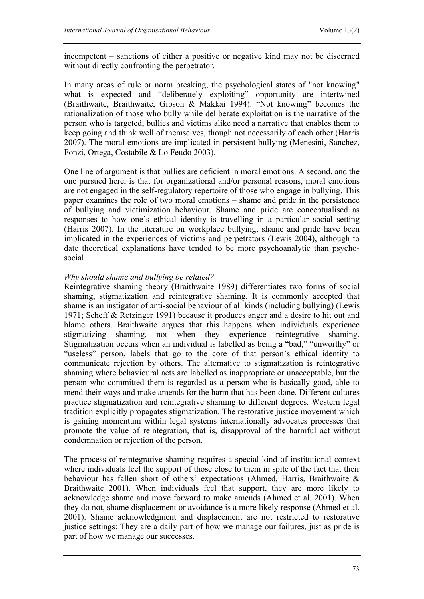incompetent – sanctions of either a positive or negative kind may not be discerned without directly confronting the perpetrator.

In many areas of rule or norm breaking, the psychological states of "not knowing" what is expected and "deliberately exploiting" opportunity are intertwined (Braithwaite, Braithwaite, Gibson & Makkai 1994). "Not knowing" becomes the rationalization of those who bully while deliberate exploitation is the narrative of the person who is targeted; bullies and victims alike need a narrative that enables them to keep going and think well of themselves, though not necessarily of each other (Harris 2007). The moral emotions are implicated in persistent bullying (Menesini, Sanchez, Fonzi, Ortega, Costabile & Lo Feudo 2003).

One line of argument is that bullies are deficient in moral emotions. A second, and the one pursued here, is that for organizational and/or personal reasons, moral emotions are not engaged in the self-regulatory repertoire of those who engage in bullying. This paper examines the role of two moral emotions – shame and pride in the persistence of bullying and victimization behaviour. Shame and pride are conceptualised as responses to how one's ethical identity is travelling in a particular social setting (Harris 2007). In the literature on workplace bullying, shame and pride have been implicated in the experiences of victims and perpetrators (Lewis 2004), although to date theoretical explanations have tended to be more psychoanalytic than psychosocial.

#### *Why should shame and bullying be related?*

Reintegrative shaming theory (Braithwaite 1989) differentiates two forms of social shaming, stigmatization and reintegrative shaming. It is commonly accepted that shame is an instigator of anti-social behaviour of all kinds (including bullying) (Lewis 1971; Scheff & Retzinger 1991) because it produces anger and a desire to hit out and blame others. Braithwaite argues that this happens when individuals experience stigmatizing shaming, not when they experience reintegrative shaming. Stigmatization occurs when an individual is labelled as being a "bad," "unworthy" or "useless" person, labels that go to the core of that person's ethical identity to communicate rejection by others. The alternative to stigmatization is reintegrative shaming where behavioural acts are labelled as inappropriate or unacceptable, but the person who committed them is regarded as a person who is basically good, able to mend their ways and make amends for the harm that has been done. Different cultures practice stigmatization and reintegrative shaming to different degrees. Western legal tradition explicitly propagates stigmatization. The restorative justice movement which is gaining momentum within legal systems internationally advocates processes that promote the value of reintegration, that is, disapproval of the harmful act without condemnation or rejection of the person.

The process of reintegrative shaming requires a special kind of institutional context where individuals feel the support of those close to them in spite of the fact that their behaviour has fallen short of others' expectations (Ahmed, Harris, Braithwaite & Braithwaite 2001). When individuals feel that support, they are more likely to acknowledge shame and move forward to make amends (Ahmed et al. 2001). When they do not, shame displacement or avoidance is a more likely response (Ahmed et al. 2001). Shame acknowledgment and displacement are not restricted to restorative justice settings: They are a daily part of how we manage our failures, just as pride is part of how we manage our successes.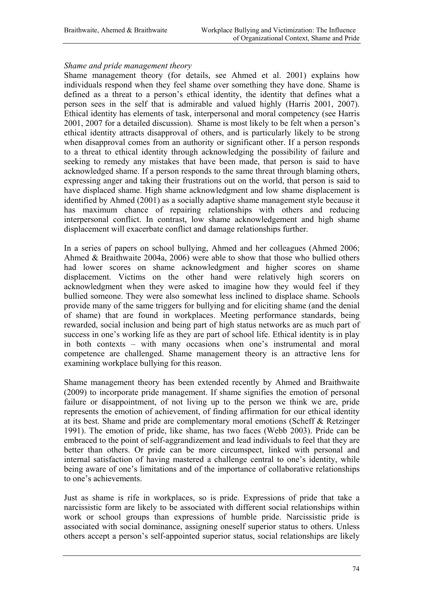#### *Shame and pride management theory*

Shame management theory (for details, see Ahmed et al. 2001) explains how individuals respond when they feel shame over something they have done. Shame is defined as a threat to a person's ethical identity, the identity that defines what a person sees in the self that is admirable and valued highly (Harris 2001, 2007). Ethical identity has elements of task, interpersonal and moral competency (see Harris 2001, 2007 for a detailed discussion). Shame is most likely to be felt when a person's ethical identity attracts disapproval of others, and is particularly likely to be strong when disapproval comes from an authority or significant other. If a person responds to a threat to ethical identity through acknowledging the possibility of failure and seeking to remedy any mistakes that have been made, that person is said to have acknowledged shame. If a person responds to the same threat through blaming others, expressing anger and taking their frustrations out on the world, that person is said to have displaced shame. High shame acknowledgment and low shame displacement is identified by Ahmed (2001) as a socially adaptive shame management style because it has maximum chance of repairing relationships with others and reducing interpersonal conflict. In contrast, low shame acknowledgement and high shame displacement will exacerbate conflict and damage relationships further.

In a series of papers on school bullying, Ahmed and her colleagues (Ahmed 2006; Ahmed & Braithwaite 2004a, 2006) were able to show that those who bullied others had lower scores on shame acknowledgment and higher scores on shame displacement. Victims on the other hand were relatively high scorers on acknowledgment when they were asked to imagine how they would feel if they bullied someone. They were also somewhat less inclined to displace shame. Schools provide many of the same triggers for bullying and for eliciting shame (and the denial of shame) that are found in workplaces. Meeting performance standards, being rewarded, social inclusion and being part of high status networks are as much part of success in one's working life as they are part of school life. Ethical identity is in play in both contexts – with many occasions when one's instrumental and moral competence are challenged. Shame management theory is an attractive lens for examining workplace bullying for this reason.

Shame management theory has been extended recently by Ahmed and Braithwaite (2009) to incorporate pride management. If shame signifies the emotion of personal failure or disappointment, of not living up to the person we think we are, pride represents the emotion of achievement, of finding affirmation for our ethical identity at its best. Shame and pride are complementary moral emotions (Scheff & Retzinger 1991). The emotion of pride, like shame, has two faces (Webb 2003). Pride can be embraced to the point of self-aggrandizement and lead individuals to feel that they are better than others. Or pride can be more circumspect, linked with personal and internal satisfaction of having mastered a challenge central to one's identity, while being aware of one's limitations and of the importance of collaborative relationships to one's achievements.

Just as shame is rife in workplaces, so is pride. Expressions of pride that take a narcissistic form are likely to be associated with different social relationships within work or school groups than expressions of humble pride. Narcissistic pride is associated with social dominance, assigning oneself superior status to others. Unless others accept a person's self-appointed superior status, social relationships are likely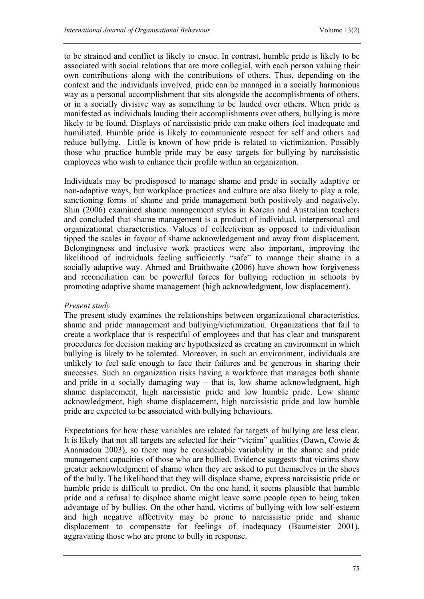to be strained and conflict is likely to ensue. In contrast, humble pride is likely to be associated with social relations that are more collegial, with each person valuing their own contributions along with the contributions of others. Thus, depending on the context and the individuals involved, pride can be managed in a socially harmonious way as a personal accomplishment that sits alongside the accomplishments of others, or in a socially divisive way as something to be lauded over others. When pride is manifested as individuals lauding their accomplishments over others, bullying is more likely to be found. Displays of narcissistic pride can make others feel inadequate and humiliated. Humble pride is likely to communicate respect for self and others and reduce bullying. Little is known of how pride is related to victimization. Possibly those who practice humble pride may be easy targets for bullying by narcissistic employees who wish to enhance their profile within an organization.

Individuals may be predisposed to manage shame and pride in socially adaptive or non-adaptive ways, but workplace practices and culture are also likely to play a role, sanctioning forms of shame and pride management both positively and negatively. Shin (2006) examined shame management styles in Korean and Australian teachers and concluded that shame management is a product of individual, interpersonal and organizational characteristics. Values of collectivism as opposed to individualism tipped the scales in favour of shame acknowledgement and away from displacement. Belongingness and inclusive work practices were also important, improving the likelihood of individuals feeling sufficiently "safe" to manage their shame in a socially adaptive way. Ahmed and Braithwaite (2006) have shown how forgiveness and reconciliation can be powerful forces for bullying reduction in schools by promoting adaptive shame management (high acknowledgment, low displacement).

## *Present study*

The present study examines the relationships between organizational characteristics, shame and pride management and bullying/victimization. Organizations that fail to create a workplace that is respectful of employees and that has clear and transparent procedures for decision making are hypothesized as creating an environment in which bullying is likely to be tolerated. Moreover, in such an environment, individuals are unlikely to feel safe enough to face their failures and be generous in sharing their successes. Such an organization risks having a workforce that manages both shame and pride in a socially damaging way – that is, low shame acknowledgment, high shame displacement, high narcissistic pride and low humble pride. Low shame acknowledgment, high shame displacement, high narcissistic pride and low humble pride are expected to be associated with bullying behaviours.

Expectations for how these variables are related for targets of bullying are less clear. It is likely that not all targets are selected for their "victim" qualities (Dawn, Cowie  $\&$ Ananiadou 2003), so there may be considerable variability in the shame and pride management capacities of those who are bullied. Evidence suggests that victims show greater acknowledgment of shame when they are asked to put themselves in the shoes of the bully. The likelihood that they will displace shame, express narcissistic pride or humble pride is difficult to predict. On the one hand, it seems plausible that humble pride and a refusal to displace shame might leave some people open to being taken advantage of by bullies. On the other hand, victims of bullying with low self-esteem and high negative affectivity may be prone to narcissistic pride and shame displacement to compensate for feelings of inadequacy (Baumeister 2001), aggravating those who are prone to bully in response.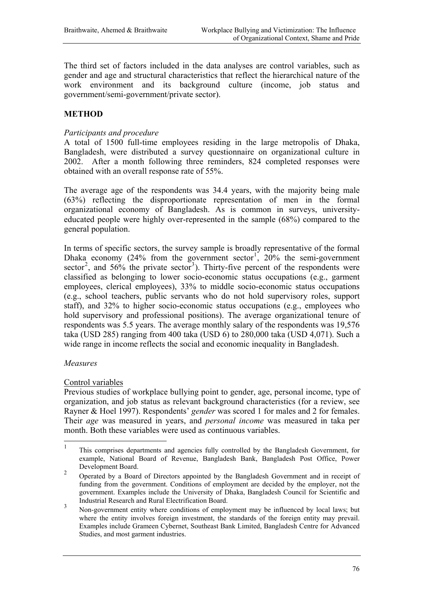The third set of factors included in the data analyses are control variables, such as gender and age and structural characteristics that reflect the hierarchical nature of the work environment and its background culture (income, job status and government/semi-government/private sector).

# **METHOD**

#### *Participants and procedure*

A total of 1500 full-time employees residing in the large metropolis of Dhaka, Bangladesh, were distributed a survey questionnaire on organizational culture in 2002. After a month following three reminders, 824 completed responses were obtained with an overall response rate of 55%.

The average age of the respondents was 34.4 years, with the majority being male (63%) reflecting the disproportionate representation of men in the formal organizational economy of Bangladesh. As is common in surveys, universityeducated people were highly over-represented in the sample (68%) compared to the general population.

In terms of specific sectors, the survey sample is broadly representative of the formal Dhaka economy (24% from the government sector<sup>1</sup>, 20% the semi-government sector<sup>2</sup>, and 56% the private sector<sup>3</sup>). Thirty-five percent of the respondents were classified as belonging to lower socio-economic status occupations (e.g., garment employees, clerical employees), 33% to middle socio-economic status occupations (e.g., school teachers, public servants who do not hold supervisory roles, support staff), and 32% to higher socio-economic status occupations (e.g., employees who hold supervisory and professional positions). The average organizational tenure of respondents was 5.5 years. The average monthly salary of the respondents was 19,576 taka (USD 285) ranging from 400 taka (USD 6) to 280,000 taka (USD 4,071). Such a wide range in income reflects the social and economic inequality in Bangladesh.

#### *Measures*

#### Control variables

Previous studies of workplace bullying point to gender, age, personal income, type of organization, and job status as relevant background characteristics (for a review, see Rayner & Hoel 1997). Respondents' *gender* was scored 1 for males and 2 for females. Their *age* was measured in years, and *personal income* was measured in taka per month. Both these variables were used as continuous variables.

 $\mathbf{1}$ <sup>1</sup> This comprises departments and agencies fully controlled by the Bangladesh Government, for example, National Board of Revenue, Bangladesh Bank, Bangladesh Post Office, Power

Development Board. <sup>2</sup> Operated by <sup>a</sup> Board of Directors appointed by the Bangladesh Government and in receipt of funding from the government. Conditions of employment are decided by the employer, not the government. Examples include the University of Dhaka, Bangladesh Council for Scientific and

Industrial Research and Rural Electrification Board. <sup>3</sup> Non-government entity where conditions of employment may be influenced by local laws; but where the entity involves foreign investment, the standards of the foreign entity may prevail. Examples include Grameen Cybernet, Southeast Bank Limited, Bangladesh Centre for Advanced Studies, and most garment industries.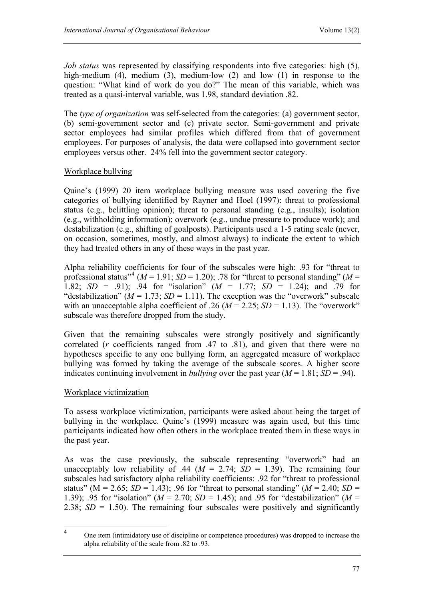*Job status* was represented by classifying respondents into five categories: high (5), high-medium (4), medium (3), medium-low (2) and low (1) in response to the question: "What kind of work do you do?" The mean of this variable, which was treated as a quasi-interval variable, was 1.98, standard deviation .82.

The *type of organization* was self-selected from the categories: (a) government sector, (b) semi-government sector and (c) private sector. Semi-government and private sector employees had similar profiles which differed from that of government employees. For purposes of analysis, the data were collapsed into government sector employees versus other. 24% fell into the government sector category.

## Workplace bullying

Quine's (1999) 20 item workplace bullying measure was used covering the five categories of bullying identified by Rayner and Hoel (1997): threat to professional status (e.g., belittling opinion); threat to personal standing (e.g., insults); isolation (e.g., withholding information); overwork (e.g., undue pressure to produce work); and destabilization (e.g., shifting of goalposts). Participants used a 1-5 rating scale (never, on occasion, sometimes, mostly, and almost always) to indicate the extent to which they had treated others in any of these ways in the past year.

Alpha reliability coefficients for four of the subscales were high: .93 for "threat to professional status<sup>"4</sup> ( $M = 1.91$ ;  $SD = 1.20$ ); .78 for "threat to personal standing" ( $M =$ 1.82;  $SD = .91$ ;  $.94$  for "isolation"  $(M = 1.77; SD = 1.24)$ ; and  $.79$  for "destabilization" ( $M = 1.73$ ;  $SD = 1.11$ ). The exception was the "overwork" subscale with an unacceptable alpha coefficient of .26 ( $M = 2.25$ ;  $SD = 1.13$ ). The "overwork" subscale was therefore dropped from the study.

Given that the remaining subscales were strongly positively and significantly correlated (*r* coefficients ranged from .47 to .81), and given that there were no hypotheses specific to any one bullying form, an aggregated measure of workplace bullying was formed by taking the average of the subscale scores. A higher score indicates continuing involvement in *bullying* over the past year  $(M = 1.81; SD = .94)$ .

## Workplace victimization

To assess workplace victimization, participants were asked about being the target of bullying in the workplace. Quine's (1999) measure was again used, but this time participants indicated how often others in the workplace treated them in these ways in the past year.

As was the case previously, the subscale representing "overwork" had an unacceptably low reliability of .44 ( $M = 2.74$ ;  $SD = 1.39$ ). The remaining four subscales had satisfactory alpha reliability coefficients: .92 for "threat to professional status" ( $M = 2.65$ ;  $SD = 1.43$ ); .96 for "threat to personal standing" ( $M = 2.40$ ;  $SD =$ 1.39); .95 for "isolation" (*M* = 2.70; *SD* = 1.45); and .95 for "destabilization" (*M* = 2.38;  $SD = 1.50$ ). The remaining four subscales were positively and significantly

 $\overline{4}$ <sup>4</sup> One item (intimidatory use of discipline or competence procedures) was dropped to increase the alpha reliability of the scale from .82 to .93.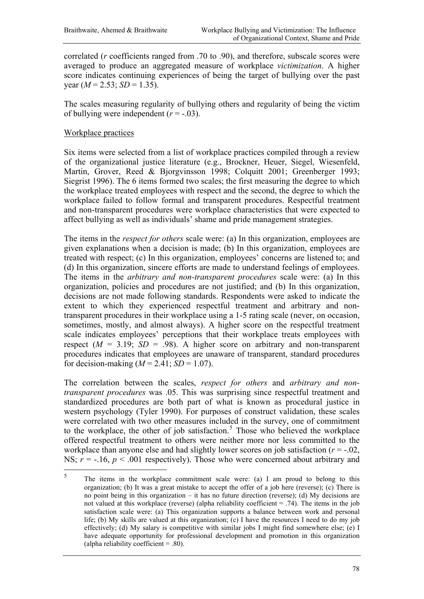correlated (*r* coefficients ranged from .70 to .90), and therefore, subscale scores were averaged to produce an aggregated measure of workplace *victimization*. A higher score indicates continuing experiences of being the target of bullying over the past vear  $(M = 2.53; SD = 1.35)$ .

The scales measuring regularity of bullying others and regularity of being the victim of bullying were independent  $(r = -0.03)$ .

#### Workplace practices

Six items were selected from a list of workplace practices compiled through a review of the organizational justice literature (e.g., Brockner, Heuer, Siegel, Wiesenfeld, Martin, Grover, Reed & Bjorgvinsson 1998; Colquitt 2001; Greenberger 1993; Siegrist 1996). The 6 items formed two scales; the first measuring the degree to which the workplace treated employees with respect and the second, the degree to which the workplace failed to follow formal and transparent procedures. Respectful treatment and non-transparent procedures were workplace characteristics that were expected to affect bullying as well as individuals' shame and pride management strategies.

The items in the *respect for others* scale were: (a) In this organization, employees are given explanations when a decision is made; (b) In this organization, employees are treated with respect; (c) In this organization, employees' concerns are listened to; and (d) In this organization, sincere efforts are made to understand feelings of employees. The items in the *arbitrary and non-transparent procedures* scale were: (a) In this organization, policies and procedures are not justified; and (b) In this organization, decisions are not made following standards. Respondents were asked to indicate the extent to which they experienced respectful treatment and arbitrary and nontransparent procedures in their workplace using a 1-5 rating scale (never, on occasion, sometimes, mostly, and almost always). A higher score on the respectful treatment scale indicates employees' perceptions that their workplace treats employees with respect  $(M = 3.19; SD = .98)$ . A higher score on arbitrary and non-transparent procedures indicates that employees are unaware of transparent, standard procedures for decision-making  $(M = 2.41; SD = 1.07)$ .

The correlation between the scales, *respect for others* and *arbitrary and nontransparent procedures* was .05. This was surprising since respectful treatment and standardized procedures are both part of what is known as procedural justice in western psychology (Tyler 1990). For purposes of construct validation, these scales were correlated with two other measures included in the survey, one of commitment to the workplace, the other of job satisfaction. <sup>5</sup> Those who believed the workplace offered respectful treatment to others were neither more nor less committed to the workplace than anyone else and had slightly lower scores on job satisfaction  $(r = -0.02)$ , NS;  $r = -16$ ,  $p < .001$  respectively). Those who were concerned about arbitrary and

 $\frac{1}{5}$  The items in the workplace commitment scale were: (a) I am proud to belong to this organization; (b) It was a great mistake to accept the offer of a job here (reverse); (c) There is no point being in this organization – it has no future direction (reverse); (d) My decisions are not valued at this workplace (reverse) (alpha reliability coefficient = .74). The items in the job satisfaction scale were: (a) This organization supports a balance between work and personal life; (b) My skills are valued at this organization; (c) I have the resources I need to do my job effectively; (d) My salary is competitive with similar jobs I might find somewhere else; (e) I have adequate opportunity for professional development and promotion in this organization (alpha reliability coefficient  $= .80$ ).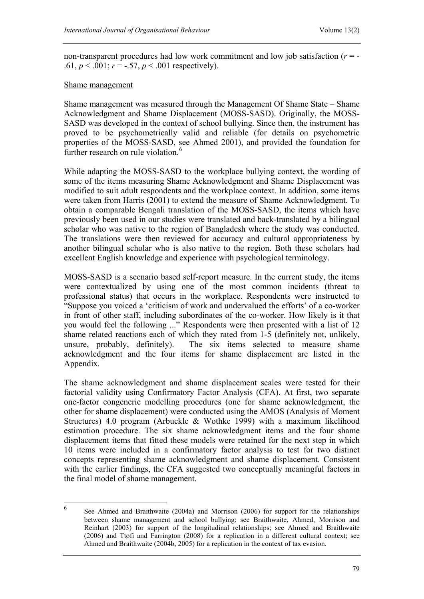non-transparent procedures had low work commitment and low job satisfaction (*r* = - .61,  $p < .001$ ;  $r = -.57$ ,  $p < .001$  respectively).

#### Shame management

Shame management was measured through the Management Of Shame State – Shame Acknowledgment and Shame Displacement (MOSS-SASD). Originally, the MOSS-SASD was developed in the context of school bullying. Since then, the instrument has proved to be psychometrically valid and reliable (for details on psychometric properties of the MOSS-SASD, see Ahmed 2001), and provided the foundation for further research on rule violation.<sup>6</sup>

While adapting the MOSS-SASD to the workplace bullying context, the wording of some of the items measuring Shame Acknowledgment and Shame Displacement was modified to suit adult respondents and the workplace context. In addition, some items were taken from Harris (2001) to extend the measure of Shame Acknowledgment. To obtain a comparable Bengali translation of the MOSS-SASD, the items which have previously been used in our studies were translated and back-translated by a bilingual scholar who was native to the region of Bangladesh where the study was conducted. The translations were then reviewed for accuracy and cultural appropriateness by another bilingual scholar who is also native to the region. Both these scholars had excellent English knowledge and experience with psychological terminology.

MOSS-SASD is a scenario based self-report measure. In the current study, the items were contextualized by using one of the most common incidents (threat to professional status) that occurs in the workplace. Respondents were instructed to "Suppose you voiced a 'criticism of work and undervalued the efforts' of a co-worker in front of other staff, including subordinates of the co-worker. How likely is it that you would feel the following ..." Respondents were then presented with a list of 12 shame related reactions each of which they rated from 1-5 (definitely not, unlikely, unsure, probably, definitely). The six items selected to measure shame acknowledgment and the four items for shame displacement are listed in the Appendix.

The shame acknowledgment and shame displacement scales were tested for their factorial validity using Confirmatory Factor Analysis (CFA). At first, two separate one-factor congeneric modelling procedures (one for shame acknowledgment, the other for shame displacement) were conducted using the AMOS (Analysis of Moment Structures) 4.0 program (Arbuckle & Wothke 1999) with a maximum likelihood estimation procedure. The six shame acknowledgment items and the four shame displacement items that fitted these models were retained for the next step in which 10 items were included in a confirmatory factor analysis to test for two distinct concepts representing shame acknowledgment and shame displacement. Consistent with the earlier findings, the CFA suggested two conceptually meaningful factors in the final model of shame management.

 $\sqrt{6}$ <sup>6</sup> See Ahmed and Braithwaite (2004a) and Morrison (2006) for support for the relationships between shame management and school bullying; see Braithwaite, Ahmed, Morrison and Reinhart (2003) for support of the longitudinal relationships; see Ahmed and Braithwaite (2006) and Ttofi and Farrington (2008) for a replication in a different cultural context; see Ahmed and Braithwaite (2004b, 2005) for a replication in the context of tax evasion.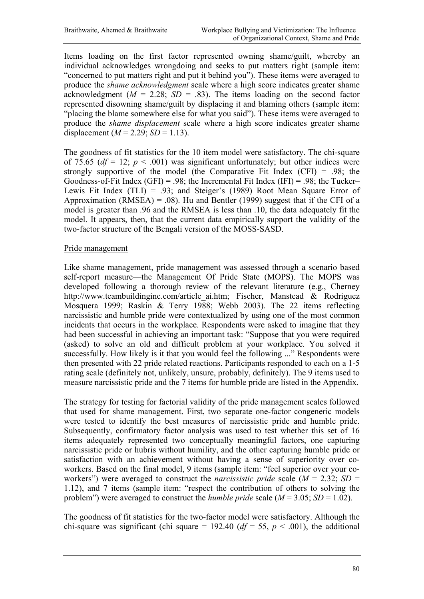Items loading on the first factor represented owning shame/guilt, whereby an individual acknowledges wrongdoing and seeks to put matters right (sample item: "concerned to put matters right and put it behind you"). These items were averaged to produce the *shame acknowledgment* scale where a high score indicates greater shame acknowledgment  $(M = 2.28; SD = .83)$ . The items loading on the second factor represented disowning shame/guilt by displacing it and blaming others (sample item: "placing the blame somewhere else for what you said"). These items were averaged to produce the *shame displacement* scale where a high score indicates greater shame displacement  $(M = 2.29; SD = 1.13)$ .

The goodness of fit statistics for the 10 item model were satisfactory. The chi-square of 75.65 ( $df = 12$ ;  $p < .001$ ) was significant unfortunately; but other indices were strongly supportive of the model (the Comparative Fit Index  $(CFI) = .98$ ; the Goodness-of-Fit Index (GFI) = .98; the Incremental Fit Index (IFI) = .98; the Tucker– Lewis Fit Index (TLI) = .93; and Steiger's (1989) Root Mean Square Error of Approximation (RMSEA) = .08). Hu and Bentler (1999) suggest that if the CFI of a model is greater than .96 and the RMSEA is less than .10, the data adequately fit the model. It appears, then, that the current data empirically support the validity of the two-factor structure of the Bengali version of the MOSS-SASD.

#### Pride management

Like shame management, pride management was assessed through a scenario based self-report measure—the Management Of Pride State (MOPS). The MOPS was developed following a thorough review of the relevant literature (e.g., Cherney http://www.teambuildinginc.com/article\_ai.htm; Fischer, Manstead & Rodriguez Mosquera 1999; Raskin & Terry 1988; Webb 2003). The 22 items reflecting narcissistic and humble pride were contextualized by using one of the most common incidents that occurs in the workplace. Respondents were asked to imagine that they had been successful in achieving an important task: "Suppose that you were required (asked) to solve an old and difficult problem at your workplace. You solved it successfully. How likely is it that you would feel the following ..." Respondents were then presented with 22 pride related reactions. Participants responded to each on a 1-5 rating scale (definitely not, unlikely, unsure, probably, definitely). The 9 items used to measure narcissistic pride and the 7 items for humble pride are listed in the Appendix.

The strategy for testing for factorial validity of the pride management scales followed that used for shame management. First, two separate one-factor congeneric models were tested to identify the best measures of narcissistic pride and humble pride. Subsequently, confirmatory factor analysis was used to test whether this set of 16 items adequately represented two conceptually meaningful factors, one capturing narcissistic pride or hubris without humility, and the other capturing humble pride or satisfaction with an achievement without having a sense of superiority over coworkers. Based on the final model, 9 items (sample item: "feel superior over your coworkers") were averaged to construct the *narcissistic pride* scale  $(M = 2.32; SD =$ 1.12), and 7 items (sample item: "respect the contribution of others to solving the problem") were averaged to construct the *humble pride* scale  $(M = 3.05; SD = 1.02)$ .

The goodness of fit statistics for the two-factor model were satisfactory. Although the chi-square was significant (chi square = 192.40 ( $df = 55$ ,  $p < .001$ ), the additional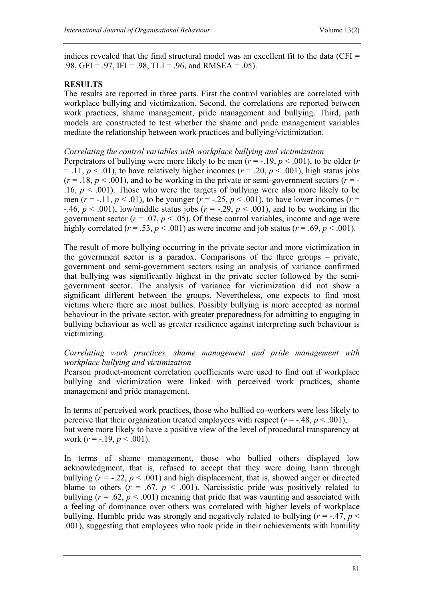indices revealed that the final structural model was an excellent fit to the data (CFI  $=$ .98, GFI = .97, IFI = .98, TLI = .96, and RMSEA = .05).

## **RESULTS**

The results are reported in three parts. First the control variables are correlated with workplace bullying and victimization. Second, the correlations are reported between work practices, shame management, pride management and bullying. Third, path models are constructed to test whether the shame and pride management variables mediate the relationship between work practices and bullying/victimization.

#### *Correlating the control variables with workplace bullying and victimization*

Perpetrators of bullying were more likely to be men  $(r = -19, p < .001)$ , to be older  $(r$  $= .11, p < .01$ ), to have relatively higher incomes ( $r = .20, p < .001$ ), high status jobs  $(r = .18, p < .001)$ , and to be working in the private or semi-government sectors  $(r = .001)$ .16,  $p < .001$ ). Those who were the targets of bullying were also more likely to be men  $(r = -.11, p < .01)$ , to be younger  $(r = -.25, p < .001)$ , to have lower incomes  $(r =$  $-46$ ,  $p < .001$ ), low/middle status jobs ( $r = .29$ ,  $p < .001$ ), and to be working in the government sector  $(r = .07, p < .05)$ . Of these control variables, income and age were highly correlated ( $r = .53$ ,  $p < .001$ ) as were income and job status ( $r = .69$ ,  $p < .001$ ).

The result of more bullying occurring in the private sector and more victimization in the government sector is a paradox. Comparisons of the three groups – private, government and semi-government sectors using an analysis of variance confirmed that bullying was significantly highest in the private sector followed by the semigovernment sector. The analysis of variance for victimization did not show a significant different between the groups. Nevertheless, one expects to find most victims where there are most bullies. Possibly bullying is more accepted as normal behaviour in the private sector, with greater preparedness for admitting to engaging in bullying behaviour as well as greater resilience against interpreting such behaviour is victimizing.

## *Correlating work practices, shame management and pride management with workplace bullying and victimization*

Pearson product-moment correlation coefficients were used to find out if workplace bullying and victimization were linked with perceived work practices, shame management and pride management.

In terms of perceived work practices, those who bullied co-workers were less likely to perceive that their organization treated employees with respect  $(r = -.48, p < .001)$ , but were more likely to have a positive view of the level of procedural transparency at work  $(r = -.19, p < .001)$ .

In terms of shame management, those who bullied others displayed low acknowledgment, that is, refused to accept that they were doing harm through bullying  $(r = -0.22, p < 0.001)$  and high displacement, that is, showed anger or directed blame to others  $(r = .67, p < .001)$ . Narcissistic pride was positively related to bullying  $(r = .62, p < .001)$  meaning that pride that was vaunting and associated with a feeling of dominance over others was correlated with higher levels of workplace bullying. Humble pride was strongly and negatively related to bullying ( $r = -0.47$ ,  $p <$ .001), suggesting that employees who took pride in their achievements with humility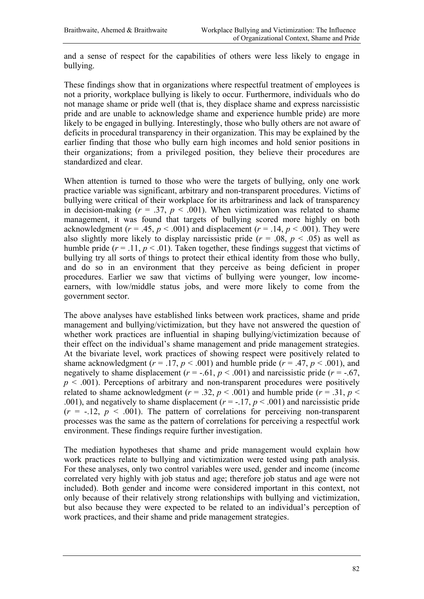and a sense of respect for the capabilities of others were less likely to engage in bullying.

These findings show that in organizations where respectful treatment of employees is not a priority, workplace bullying is likely to occur. Furthermore, individuals who do not manage shame or pride well (that is, they displace shame and express narcissistic pride and are unable to acknowledge shame and experience humble pride) are more likely to be engaged in bullying. Interestingly, those who bully others are not aware of deficits in procedural transparency in their organization. This may be explained by the earlier finding that those who bully earn high incomes and hold senior positions in their organizations; from a privileged position, they believe their procedures are standardized and clear.

When attention is turned to those who were the targets of bullying, only one work practice variable was significant, arbitrary and non-transparent procedures. Victims of bullying were critical of their workplace for its arbitrariness and lack of transparency in decision-making  $(r = .37, p < .001)$ . When victimization was related to shame management, it was found that targets of bullying scored more highly on both acknowledgment ( $r = .45$ ,  $p < .001$ ) and displacement ( $r = .14$ ,  $p < .001$ ). They were also slightly more likely to display narcissistic pride  $(r = .08, p < .05)$  as well as humble pride  $(r = .11, p < .01)$ . Taken together, these findings suggest that victims of bullying try all sorts of things to protect their ethical identity from those who bully, and do so in an environment that they perceive as being deficient in proper procedures. Earlier we saw that victims of bullying were younger, low incomeearners, with low/middle status jobs, and were more likely to come from the government sector.

The above analyses have established links between work practices, shame and pride management and bullying/victimization, but they have not answered the question of whether work practices are influential in shaping bullying/victimization because of their effect on the individual's shame management and pride management strategies. At the bivariate level, work practices of showing respect were positively related to shame acknowledgment  $(r = .17, p < .001)$  and humble pride  $(r = .47, p < .001)$ , and negatively to shame displacement  $(r = -.61, p < .001)$  and narcissistic pride  $(r = -.67,$  $p \leq 0.001$ ). Perceptions of arbitrary and non-transparent procedures were positively related to shame acknowledgment ( $r = .32$ ,  $p < .001$ ) and humble pride ( $r = .31$ ,  $p <$ .001), and negatively to shame displacement  $(r = -1.17, p < .001)$  and narcissistic pride  $(r = -12, p < 0.01)$ . The pattern of correlations for perceiving non-transparent processes was the same as the pattern of correlations for perceiving a respectful work environment. These findings require further investigation.

The mediation hypotheses that shame and pride management would explain how work practices relate to bullying and victimization were tested using path analysis. For these analyses, only two control variables were used, gender and income (income correlated very highly with job status and age; therefore job status and age were not included). Both gender and income were considered important in this context, not only because of their relatively strong relationships with bullying and victimization, but also because they were expected to be related to an individual's perception of work practices, and their shame and pride management strategies.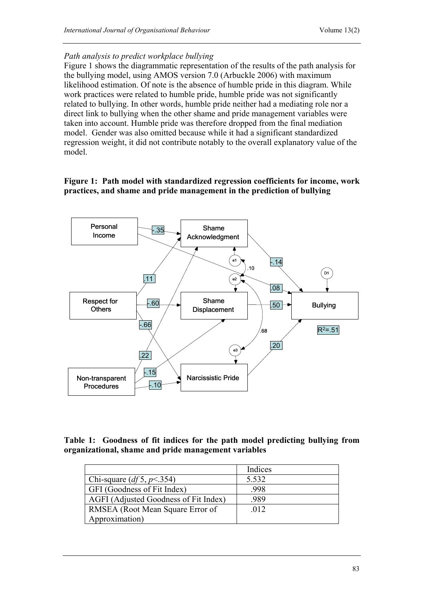#### *Path analysis to predict workplace bullying*

Figure 1 shows the diagrammatic representation of the results of the path analysis for the bullying model, using AMOS version 7.0 (Arbuckle 2006) with maximum likelihood estimation. Of note is the absence of humble pride in this diagram. While work practices were related to humble pride, humble pride was not significantly related to bullying. In other words, humble pride neither had a mediating role nor a direct link to bullying when the other shame and pride management variables were taken into account. Humble pride was therefore dropped from the final mediation model. Gender was also omitted because while it had a significant standardized regression weight, it did not contribute notably to the overall explanatory value of the model.

### **Figure 1: Path model with standardized regression coefficients for income, work practices, and shame and pride management in the prediction of bullying**



## **Table 1: Goodness of fit indices for the path model predicting bullying from organizational, shame and pride management variables**

|                                       | Indices |
|---------------------------------------|---------|
| Chi-square $(df5, p<354)$             | 5.532   |
| GFI (Goodness of Fit Index)           | .998    |
| AGFI (Adjusted Goodness of Fit Index) | .989    |
| RMSEA (Root Mean Square Error of      | .012    |
| Approximation)                        |         |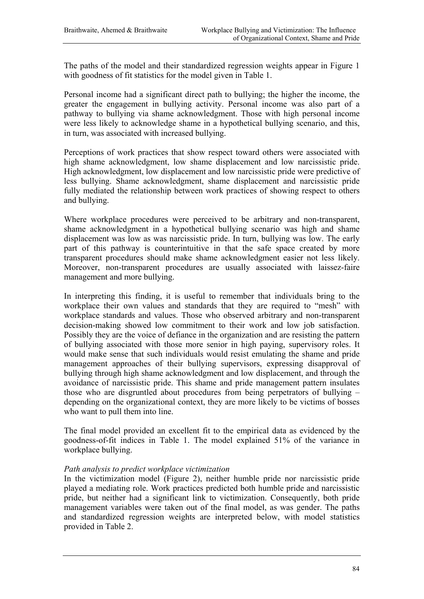The paths of the model and their standardized regression weights appear in Figure 1 with goodness of fit statistics for the model given in Table 1.

Personal income had a significant direct path to bullying; the higher the income, the greater the engagement in bullying activity. Personal income was also part of a pathway to bullying via shame acknowledgment. Those with high personal income were less likely to acknowledge shame in a hypothetical bullying scenario, and this, in turn, was associated with increased bullying.

Perceptions of work practices that show respect toward others were associated with high shame acknowledgment, low shame displacement and low narcissistic pride. High acknowledgment, low displacement and low narcissistic pride were predictive of less bullying. Shame acknowledgment, shame displacement and narcissistic pride fully mediated the relationship between work practices of showing respect to others and bullying.

Where workplace procedures were perceived to be arbitrary and non-transparent, shame acknowledgment in a hypothetical bullying scenario was high and shame displacement was low as was narcissistic pride. In turn, bullying was low. The early part of this pathway is counterintuitive in that the safe space created by more transparent procedures should make shame acknowledgment easier not less likely. Moreover, non-transparent procedures are usually associated with laissez-faire management and more bullying.

In interpreting this finding, it is useful to remember that individuals bring to the workplace their own values and standards that they are required to "mesh" with workplace standards and values. Those who observed arbitrary and non-transparent decision-making showed low commitment to their work and low job satisfaction. Possibly they are the voice of defiance in the organization and are resisting the pattern of bullying associated with those more senior in high paying, supervisory roles. It would make sense that such individuals would resist emulating the shame and pride management approaches of their bullying supervisors, expressing disapproval of bullying through high shame acknowledgment and low displacement, and through the avoidance of narcissistic pride. This shame and pride management pattern insulates those who are disgruntled about procedures from being perpetrators of bullying – depending on the organizational context, they are more likely to be victims of bosses who want to pull them into line.

The final model provided an excellent fit to the empirical data as evidenced by the goodness-of-fit indices in Table 1. The model explained 51% of the variance in workplace bullying.

#### *Path analysis to predict workplace victimization*

In the victimization model (Figure 2), neither humble pride nor narcissistic pride played a mediating role. Work practices predicted both humble pride and narcissistic pride, but neither had a significant link to victimization. Consequently, both pride management variables were taken out of the final model, as was gender. The paths and standardized regression weights are interpreted below, with model statistics provided in Table 2.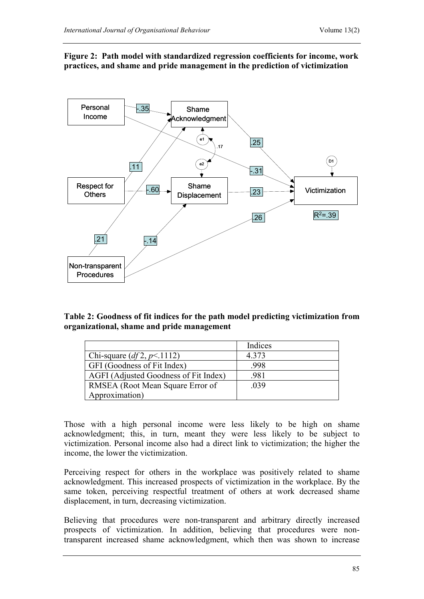

## **Figure 2: Path model with standardized regression coefficients for income, work practices, and shame and pride management in the prediction of victimization**

| Table 2: Goodness of fit indices for the path model predicting victimization from |  |
|-----------------------------------------------------------------------------------|--|
| organizational, shame and pride management                                        |  |

|                                       | Indices |
|---------------------------------------|---------|
| Chi-square $(df2, p<1112)$            | 4.373   |
| GFI (Goodness of Fit Index)           | .998    |
| AGFI (Adjusted Goodness of Fit Index) | .981    |
| RMSEA (Root Mean Square Error of      | .039    |
| Approximation)                        |         |

Those with a high personal income were less likely to be high on shame acknowledgment; this, in turn, meant they were less likely to be subject to victimization. Personal income also had a direct link to victimization; the higher the income, the lower the victimization.

Perceiving respect for others in the workplace was positively related to shame acknowledgment. This increased prospects of victimization in the workplace. By the same token, perceiving respectful treatment of others at work decreased shame displacement, in turn, decreasing victimization.

Believing that procedures were non-transparent and arbitrary directly increased prospects of victimization. In addition, believing that procedures were nontransparent increased shame acknowledgment, which then was shown to increase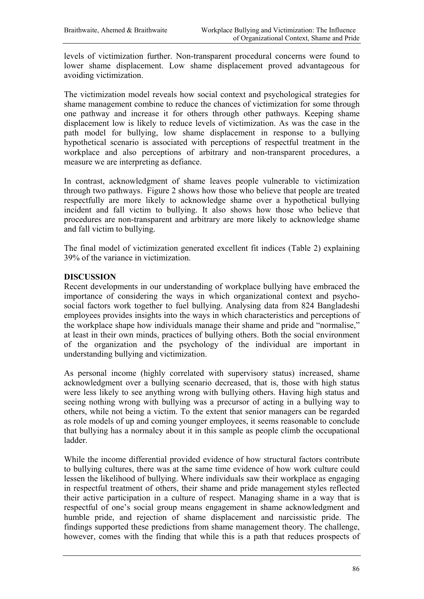levels of victimization further. Non-transparent procedural concerns were found to lower shame displacement. Low shame displacement proved advantageous for avoiding victimization.

The victimization model reveals how social context and psychological strategies for shame management combine to reduce the chances of victimization for some through one pathway and increase it for others through other pathways. Keeping shame displacement low is likely to reduce levels of victimization. As was the case in the path model for bullying, low shame displacement in response to a bullying hypothetical scenario is associated with perceptions of respectful treatment in the workplace and also perceptions of arbitrary and non-transparent procedures, a measure we are interpreting as defiance.

In contrast, acknowledgment of shame leaves people vulnerable to victimization through two pathways. Figure 2 shows how those who believe that people are treated respectfully are more likely to acknowledge shame over a hypothetical bullying incident and fall victim to bullying. It also shows how those who believe that procedures are non-transparent and arbitrary are more likely to acknowledge shame and fall victim to bullying.

The final model of victimization generated excellent fit indices (Table 2) explaining 39% of the variance in victimization.

#### **DISCUSSION**

Recent developments in our understanding of workplace bullying have embraced the importance of considering the ways in which organizational context and psychosocial factors work together to fuel bullying. Analysing data from 824 Bangladeshi employees provides insights into the ways in which characteristics and perceptions of the workplace shape how individuals manage their shame and pride and "normalise," at least in their own minds, practices of bullying others. Both the social environment of the organization and the psychology of the individual are important in understanding bullying and victimization.

As personal income (highly correlated with supervisory status) increased, shame acknowledgment over a bullying scenario decreased, that is, those with high status were less likely to see anything wrong with bullying others. Having high status and seeing nothing wrong with bullying was a precursor of acting in a bullying way to others, while not being a victim. To the extent that senior managers can be regarded as role models of up and coming younger employees, it seems reasonable to conclude that bullying has a normalcy about it in this sample as people climb the occupational ladder.

While the income differential provided evidence of how structural factors contribute to bullying cultures, there was at the same time evidence of how work culture could lessen the likelihood of bullying. Where individuals saw their workplace as engaging in respectful treatment of others, their shame and pride management styles reflected their active participation in a culture of respect. Managing shame in a way that is respectful of one's social group means engagement in shame acknowledgment and humble pride, and rejection of shame displacement and narcissistic pride. The findings supported these predictions from shame management theory. The challenge, however, comes with the finding that while this is a path that reduces prospects of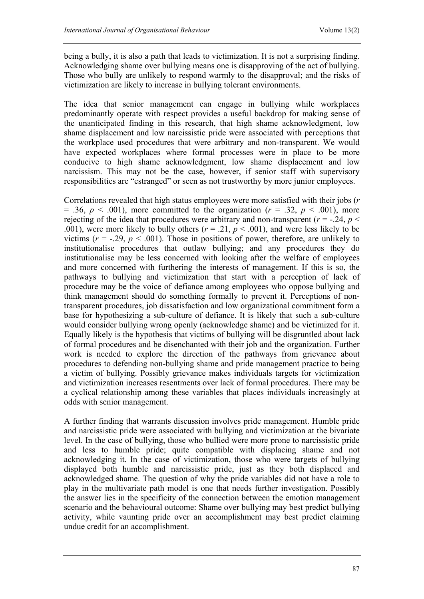being a bully, it is also a path that leads to victimization. It is not a surprising finding. Acknowledging shame over bullying means one is disapproving of the act of bullying. Those who bully are unlikely to respond warmly to the disapproval; and the risks of victimization are likely to increase in bullying tolerant environments.

The idea that senior management can engage in bullying while workplaces predominantly operate with respect provides a useful backdrop for making sense of the unanticipated finding in this research, that high shame acknowledgment, low shame displacement and low narcissistic pride were associated with perceptions that the workplace used procedures that were arbitrary and non-transparent. We would have expected workplaces where formal processes were in place to be more conducive to high shame acknowledgment, low shame displacement and low narcissism. This may not be the case, however, if senior staff with supervisory responsibilities are "estranged" or seen as not trustworthy by more junior employees.

Correlations revealed that high status employees were more satisfied with their jobs (*r*  $= .36, p < .001$ , more committed to the organization ( $r = .32, p < .001$ ), more rejecting of the idea that procedures were arbitrary and non-transparent ( $r = -0.24$ ,  $p <$ .001), were more likely to bully others ( $r = .21$ ,  $p < .001$ ), and were less likely to be victims  $(r = -.29, p < .001)$ . Those in positions of power, therefore, are unlikely to institutionalise procedures that outlaw bullying; and any procedures they do institutionalise may be less concerned with looking after the welfare of employees and more concerned with furthering the interests of management. If this is so, the pathways to bullying and victimization that start with a perception of lack of procedure may be the voice of defiance among employees who oppose bullying and think management should do something formally to prevent it. Perceptions of nontransparent procedures, job dissatisfaction and low organizational commitment form a base for hypothesizing a sub-culture of defiance. It is likely that such a sub-culture would consider bullying wrong openly (acknowledge shame) and be victimized for it. Equally likely is the hypothesis that victims of bullying will be disgruntled about lack of formal procedures and be disenchanted with their job and the organization. Further work is needed to explore the direction of the pathways from grievance about procedures to defending non-bullying shame and pride management practice to being a victim of bullying. Possibly grievance makes individuals targets for victimization and victimization increases resentments over lack of formal procedures. There may be a cyclical relationship among these variables that places individuals increasingly at odds with senior management.

A further finding that warrants discussion involves pride management. Humble pride and narcissistic pride were associated with bullying and victimization at the bivariate level. In the case of bullying, those who bullied were more prone to narcissistic pride and less to humble pride; quite compatible with displacing shame and not acknowledging it. In the case of victimization, those who were targets of bullying displayed both humble and narcissistic pride, just as they both displaced and acknowledged shame. The question of why the pride variables did not have a role to play in the multivariate path model is one that needs further investigation. Possibly the answer lies in the specificity of the connection between the emotion management scenario and the behavioural outcome: Shame over bullying may best predict bullying activity, while vaunting pride over an accomplishment may best predict claiming undue credit for an accomplishment.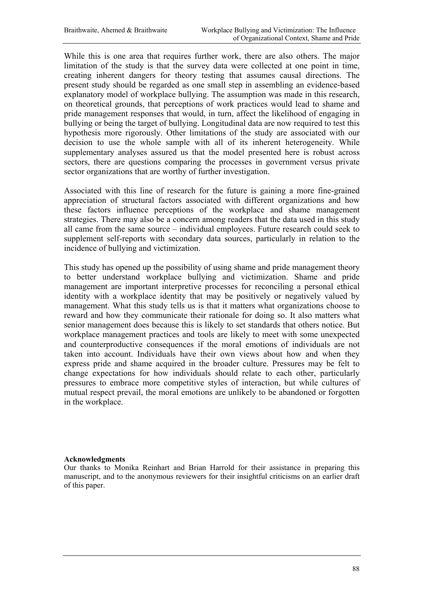While this is one area that requires further work, there are also others. The major limitation of the study is that the survey data were collected at one point in time, creating inherent dangers for theory testing that assumes causal directions. The present study should be regarded as one small step in assembling an evidence-based explanatory model of workplace bullying. The assumption was made in this research, on theoretical grounds, that perceptions of work practices would lead to shame and pride management responses that would, in turn, affect the likelihood of engaging in bullying or being the target of bullying. Longitudinal data are now required to test this hypothesis more rigorously. Other limitations of the study are associated with our decision to use the whole sample with all of its inherent heterogeneity. While supplementary analyses assured us that the model presented here is robust across sectors, there are questions comparing the processes in government versus private sector organizations that are worthy of further investigation.

Associated with this line of research for the future is gaining a more fine-grained appreciation of structural factors associated with different organizations and how these factors influence perceptions of the workplace and shame management strategies. There may also be a concern among readers that the data used in this study all came from the same source – individual employees. Future research could seek to supplement self-reports with secondary data sources, particularly in relation to the incidence of bullying and victimization.

This study has opened up the possibility of using shame and pride management theory to better understand workplace bullying and victimization. Shame and pride management are important interpretive processes for reconciling a personal ethical identity with a workplace identity that may be positively or negatively valued by management. What this study tells us is that it matters what organizations choose to reward and how they communicate their rationale for doing so. It also matters what senior management does because this is likely to set standards that others notice. But workplace management practices and tools are likely to meet with some unexpected and counterproductive consequences if the moral emotions of individuals are not taken into account. Individuals have their own views about how and when they express pride and shame acquired in the broader culture. Pressures may be felt to change expectations for how individuals should relate to each other, particularly pressures to embrace more competitive styles of interaction, but while cultures of mutual respect prevail, the moral emotions are unlikely to be abandoned or forgotten in the workplace.

#### **Acknowledgments**

Our thanks to Monika Reinhart and Brian Harrold for their assistance in preparing this manuscript, and to the anonymous reviewers for their insightful criticisms on an earlier draft of this paper.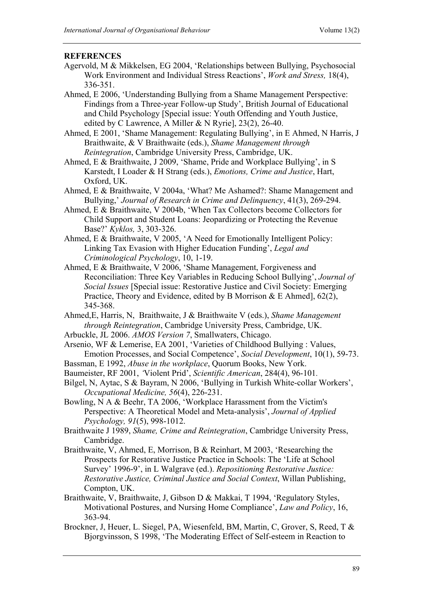## **REFERENCES**

- Agervold, M & Mikkelsen, EG 2004, 'Relationships between Bullying, Psychosocial Work Environment and Individual Stress Reactions', *Work and Stress,* 18(4), 336-351.
- Ahmed, E 2006, 'Understanding Bullying from a Shame Management Perspective: Findings from a Three-year Follow-up Study', British Journal of Educational and Child Psychology [Special issue: Youth Offending and Youth Justice, edited by C Lawrence, A Miller & N Ryrie], 23(2), 26-40.

Ahmed, E 2001, 'Shame Management: Regulating Bullying', in E Ahmed, N Harris, J Braithwaite, & V Braithwaite (eds.), *Shame Management through Reintegration*, Cambridge University Press, Cambridge, UK.

Ahmed, E & Braithwaite, J 2009, 'Shame, Pride and Workplace Bullying', in S Karstedt, I Loader & H Strang (eds.), *Emotions, Crime and Justice*, Hart, Oxford, UK.

Ahmed, E & Braithwaite, V 2004a, 'What? Me Ashamed?: Shame Management and Bullying,' *Journal of Research in Crime and Delinquency*, 41(3), 269-294.

- Ahmed, E & Braithwaite, V 2004b, 'When Tax Collectors become Collectors for Child Support and Student Loans: Jeopardizing or Protecting the Revenue Base?' *Kyklos,* 3, 303-326.
- Ahmed, E & Braithwaite, V 2005, 'A Need for Emotionally Intelligent Policy: Linking Tax Evasion with Higher Education Funding', *Legal and Criminological Psychology*, 10, 1-19.
- Ahmed, E & Braithwaite, V 2006, 'Shame Management, Forgiveness and Reconciliation: Three Key Variables in Reducing School Bullying', *Journal of Social Issues* [Special issue: Restorative Justice and Civil Society: Emerging Practice, Theory and Evidence, edited by B Morrison & E Ahmed], 62(2), 345-368.

Ahmed,E, Harris, N, Braithwaite, J & Braithwaite V (eds.), *Shame Management through Reintegration*, Cambridge University Press, Cambridge, UK.

Arbuckle, JL 2006. *AMOS Version 7*, Smallwaters, Chicago.

Arsenio, WF & Lemerise, EA 2001, 'Varieties of Childhood Bullying : Values, Emotion Processes, and Social Competence', *Social Development*, 10(1), 59-73.

- Bassman, E 1992, *Abuse in the workplace*, Quorum Books, New York.
- Baumeister, RF 2001, *'*Violent Prid', *Scientific American*, 284(4), 96-101*.*
- Bilgel, N, Aytac, S & Bayram, N 2006, 'Bullying in Turkish White-collar Workers', *Occupational Medicine, 56*(4), 226-231.
- Bowling, N A & Beehr, TA 2006, 'Workplace Harassment from the Victim's Perspective: A Theoretical Model and Meta-analysis', *Journal of Applied Psychology, 91*(5), 998-1012.

Braithwaite J 1989, *Shame, Crime and Reintegration*, Cambridge University Press, Cambridge.

- Braithwaite, V, Ahmed, E, Morrison, B & Reinhart, M 2003, 'Researching the Prospects for Restorative Justice Practice in Schools: The 'Life at School Survey' 1996-9', in L Walgrave (ed.). *Repositioning Restorative Justice: Restorative Justice, Criminal Justice and Social Context*, Willan Publishing, Compton, UK.
- Braithwaite, V, Braithwaite, J, Gibson D & Makkai, T 1994, 'Regulatory Styles, Motivational Postures, and Nursing Home Compliance', *Law and Policy*, 16, 363-94.
- Brockner, J, Heuer, L. Siegel, PA, Wiesenfeld, BM, Martin, C, Grover, S, Reed, T & Bjorgvinsson, S 1998, 'The Moderating Effect of Self-esteem in Reaction to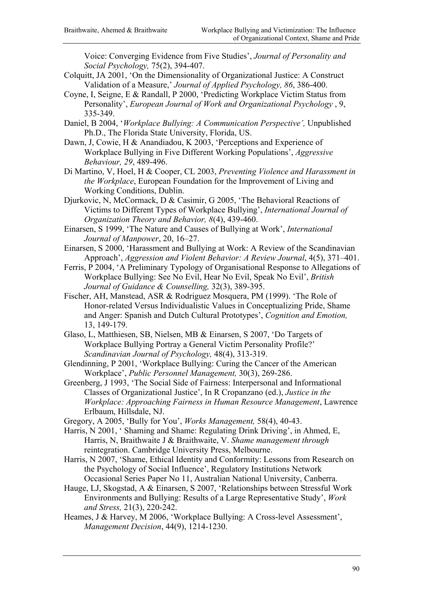Voice: Converging Evidence from Five Studies', *Journal of Personality and Social Psychology,* 75(2), 394-407.

- Colquitt, JA 2001, 'On the Dimensionality of Organizational Justice: A Construct Validation of a Measure,' *Journal of Applied Psychology, 86*, 386-400.
- Coyne, I, Seigne, E & Randall, P 2000, 'Predicting Workplace Victim Status from Personality', *European Journal of Work and Organizational Psychology* , 9, 335-349.
- Daniel, B 2004, '*Workplace Bullying: A Communication Perspective',* Unpublished Ph.D., The Florida State University, Florida, US.
- Dawn, J, Cowie, H & Anandiadou, K 2003, 'Perceptions and Experience of Workplace Bullying in Five Different Working Populations', *Aggressive Behaviour, 29*, 489-496.

Di Martino, V, Hoel, H & Cooper, CL 2003, *Preventing Violence and Harassment in the Workplace*, European Foundation for the Improvement of Living and Working Conditions, Dublin.

Djurkovic, N, McCormack, D & Casimir, G 2005, 'The Behavioral Reactions of Victims to Different Types of Workplace Bullying', *International Journal of Organization Theory and Behavior, 8*(4), 439-460.

Einarsen, S 1999, 'The Nature and Causes of Bullying at Work', *International Journal of Manpower*, 20, 16–27.

Einarsen, S 2000, 'Harassment and Bullying at Work: A Review of the Scandinavian Approach', *Aggression and Violent Behavior: A Review Journal*, 4(5), 371–401.

- Ferris, P 2004, 'A Preliminary Typology of Organisational Response to Allegations of Workplace Bullying: See No Evil, Hear No Evil, Speak No Evil', *British Journal of Guidance & Counselling,* 32(3), 389-395.
- Fischer, AH, Manstead, ASR & Rodriguez Mosquera, PM (1999). 'The Role of Honor-related Versus Individualistic Values in Conceptualizing Pride, Shame and Anger: Spanish and Dutch Cultural Prototypes', *Cognition and Emotion,*  13, 149-179.
- Glaso, L, Matthiesen, SB, Nielsen, MB & Einarsen, S 2007, 'Do Targets of Workplace Bullying Portray a General Victim Personality Profile?' *Scandinavian Journal of Psychology,* 48(4), 313-319.
- Glendinning, P 2001, 'Workplace Bullying: Curing the Cancer of the American Workplace', *Public Personnel Management,* 30(3), 269-286.
- Greenberg, J 1993, 'The Social Side of Fairness: Interpersonal and Informational Classes of Organizational Justice', In R Cropanzano (ed.), *Justice in the Workplace: Approaching Fairness in Human Resource Management*, Lawrence Erlbaum, Hillsdale, NJ.
- Gregory, A 2005, 'Bully for You', *Works Management,* 58(4), 40-43.
- Harris, N 2001, ' Shaming and Shame: Regulating Drink Driving', in Ahmed, E, Harris, N, Braithwaite J & Braithwaite, V. *Shame management through*  reintegration. Cambridge University Press, Melbourne.
- Harris, N 2007, 'Shame, Ethical Identity and Conformity: Lessons from Research on the Psychology of Social Influence', Regulatory Institutions Network Occasional Series Paper No 11, Australian National University, Canberra.
- Hauge, LJ, Skogstad, A & Einarsen, S 2007, 'Relationships between Stressful Work Environments and Bullying: Results of a Large Representative Study', *Work and Stress,* 21(3), 220-242.
- Heames, J & Harvey, M 2006, 'Workplace Bullying: A Cross-level Assessment', *Management Decision*, 44(9), 1214-1230.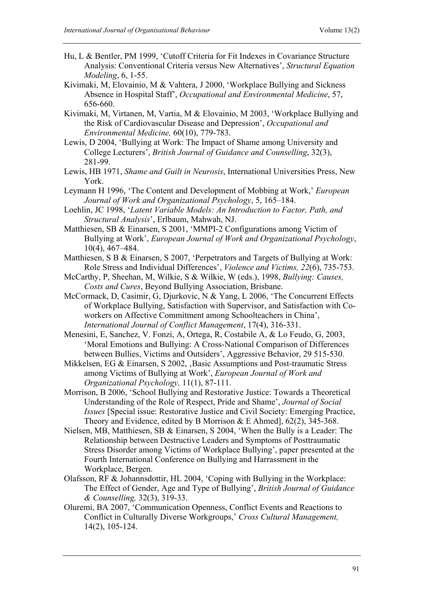- Hu, L & Bentler, PM 1999, 'Cutoff Criteria for Fit Indexes in Covariance Structure Analysis: Conventional Criteria versus New Alternatives', *Structural Equation Modeling*, 6, 1-55.
- Kivimaki, M, Elovainio, M & Vahtera, J 2000, 'Workplace Bullying and Sickness Absence in Hospital Staff', *Occupational and Environmental Medicine*, 57, 656-660.
- Kivimaki, M, Virtanen, M, Vartia, M & Elovainio, M 2003, 'Workplace Bullying and the Risk of Cardiovascular Disease and Depression', *Occupational and Environmental Medicine,* 60(10), 779-783.
- Lewis, D 2004, 'Bullying at Work: The Impact of Shame among University and College Lecturers', *British Journal of Guidance and Counselling*, 32(3), 281-99.
- Lewis, HB 1971, *Shame and Guilt in Neurosis*, International Universities Press, New York.
- Leymann H 1996, 'The Content and Development of Mobbing at Work,' *European Journal of Work and Organizational Psychology*, 5, 165–184.
- Loehlin, JC 1998, '*Latent Variable Models: An Introduction to Factor, Path, and Structural Analysis*', Erlbaum, Mahwah, NJ.
- Matthiesen, SB & Einarsen, S 2001, 'MMPI-2 Configurations among Victim of Bullying at Work', *European Journal of Work and Organizational Psychology*, 10(4), 467–484.
- Matthiesen, S B & Einarsen, S 2007, 'Perpetrators and Targets of Bullying at Work: Role Stress and Individual Differences', *Violence and Victims, 22*(6), 735-753.
- McCarthy, P, Sheehan, M, Wilkie, S & Wilkie, W (eds.), 1998, *Bullying: Causes, Costs and Cures*, Beyond Bullying Association, Brisbane.
- McCormack, D, Casimir, G, Djurkovic, N & Yang, L 2006, 'The Concurrent Effects of Workplace Bullying, Satisfaction with Supervisor, and Satisfaction with Coworkers on Affective Commitment among Schoolteachers in China', *International Journal of Conflict Management*, 17(4), 316-331.
- Menesini, E, Sanchez, V. Fonzi, A, Ortega, R, Costabile A, & Lo Feudo, G, 2003, 'Moral Emotions and Bullying: A Cross-National Comparison of Differences between Bullies, Victims and Outsiders', Aggressive Behavior, 29 515-530.
- Mikkelsen, EG & Einarsen, S 2002, , Basic Assumptions and Post-traumatic Stress among Victims of Bullying at Work', *European Journal of Work and Organizational Psychology,* 11(1), 87-111.
- Morrison, B 2006, 'School Bullying and Restorative Justice: Towards a Theoretical Understanding of the Role of Respect, Pride and Shame', *Journal of Social Issues* [Special issue: Restorative Justice and Civil Society: Emerging Practice, Theory and Evidence, edited by B Morrison & E Ahmed], 62(2), 345-368.
- Nielsen, MB, Matthiesen, SB & Einarsen, S 2004, 'When the Bully is a Leader: The Relationship between Destructive Leaders and Symptoms of Posttraumatic Stress Disorder among Victims of Workplace Bullying', paper presented at the Fourth International Conference on Bullying and Harrassment in the Workplace, Bergen.
- Olafsson, RF & Johannsdottir, HL 2004, 'Coping with Bullying in the Workplace: The Effect of Gender, Age and Type of Bullying', *British Journal of Guidance & Counselling,* 32(3), 319-33.
- Oluremi, BA 2007, 'Communication Openness, Conflict Events and Reactions to Conflict in Culturally Diverse Workgroups,' *Cross Cultural Management,* 14(2), 105-124.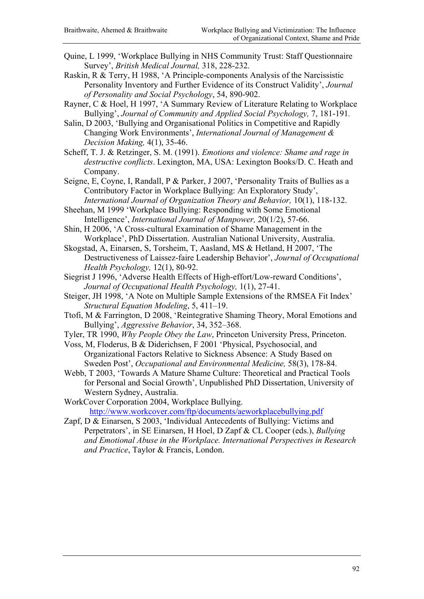Quine, L 1999, 'Workplace Bullying in NHS Community Trust: Staff Questionnaire Survey', *British Medical Journal,* 318, 228-232.

Raskin, R & Terry, H 1988, 'A Principle-components Analysis of the Narcissistic Personality Inventory and Further Evidence of its Construct Validity', *Journal of Personality and Social Psychology*, 54, 890-902.

Rayner, C & Hoel, H 1997, 'A Summary Review of Literature Relating to Workplace Bullying', *Journal of Community and Applied Social Psychology,* 7, 181-191*.* 

Salin, D 2003, 'Bullying and Organisational Politics in Competitive and Rapidly Changing Work Environments', *International Journal of Management & Decision Making,* 4(1), 35-46.

Scheff, T. J. & Retzinger, S. M. (1991). *Emotions and violence: Shame and rage in destructive conflicts*. Lexington, MA, USA: Lexington Books/D. C. Heath and Company.

Seigne, E, Coyne, I, Randall, P & Parker, J 2007, 'Personality Traits of Bullies as a Contributory Factor in Workplace Bullying: An Exploratory Study', *International Journal of Organization Theory and Behavior,* 10(1), 118-132.

Sheehan, M 1999 'Workplace Bullying: Responding with Some Emotional Intelligence', *International Journal of Manpower,* 20(1/2), 57-66.

- Shin, H 2006, 'A Cross-cultural Examination of Shame Management in the Workplace', PhD Dissertation. Australian National University, Australia.
- Skogstad, A, Einarsen, S, Torsheim, T, Aasland, MS & Hetland, H 2007, 'The Destructiveness of Laissez-faire Leadership Behavior', *Journal of Occupational Health Psychology,* 12(1), 80-92.
- Siegrist J 1996, 'Adverse Health Effects of High-effort/Low-reward Conditions', *Journal of Occupational Health Psychology,* 1(1), 27-41.
- Steiger, JH 1998, 'A Note on Multiple Sample Extensions of the RMSEA Fit Index' *Structural Equation Modeling*, 5, 411–19.
- Ttofi, M & Farrington, D 2008, 'Reintegrative Shaming Theory, Moral Emotions and Bullying', *Aggressive Behavior*, 34, 352–368.
- Tyler, TR 1990, *Why People Obey the Law*, Princeton University Press, Princeton.
- Voss, M, Floderus, B & Diderichsen, F 2001 'Physical, Psychosocial, and Organizational Factors Relative to Sickness Absence: A Study Based on Sweden Post', *Occupational and Environmental Medicine,* 58(3), 178-84.

Webb, T 2003, 'Towards A Mature Shame Culture: Theoretical and Practical Tools for Personal and Social Growth', Unpublished PhD Dissertation, University of Western Sydney, Australia.

WorkCover Corporation 2004, Workplace Bullying. http://www.workcover.com/ftp/documents/aeworkplacebullying.pdf

Zapf, D & Einarsen, S 2003, 'Individual Antecedents of Bullying: Victims and Perpetrators', in SE Einarsen, H Hoel, D Zapf & CL Cooper (eds.), *Bullying and Emotional Abuse in the Workplace. International Perspectives in Research and Practice*, Taylor & Francis, London.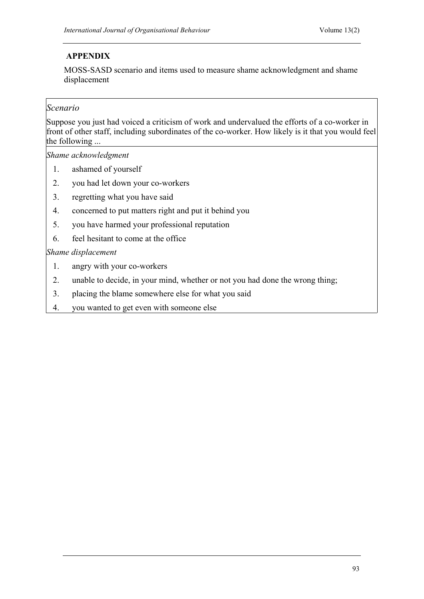# **APPENDIX**

MOSS-SASD scenario and items used to measure shame acknowledgment and shame displacement

# *Scenario*

Suppose you just had voiced a criticism of work and undervalued the efforts of a co-worker in front of other staff, including subordinates of the co-worker. How likely is it that you would feel the following ...

*Shame acknowledgment* 

- 1. ashamed of yourself
- 2. you had let down your co-workers
- 3. regretting what you have said
- 4. concerned to put matters right and put it behind you
- 5. you have harmed your professional reputation
- 6. feel hesitant to come at the office

## *Shame displacement*

- 1. angry with your co-workers
- 2. unable to decide, in your mind, whether or not you had done the wrong thing;
- 3. placing the blame somewhere else for what you said
- 4. you wanted to get even with someone else